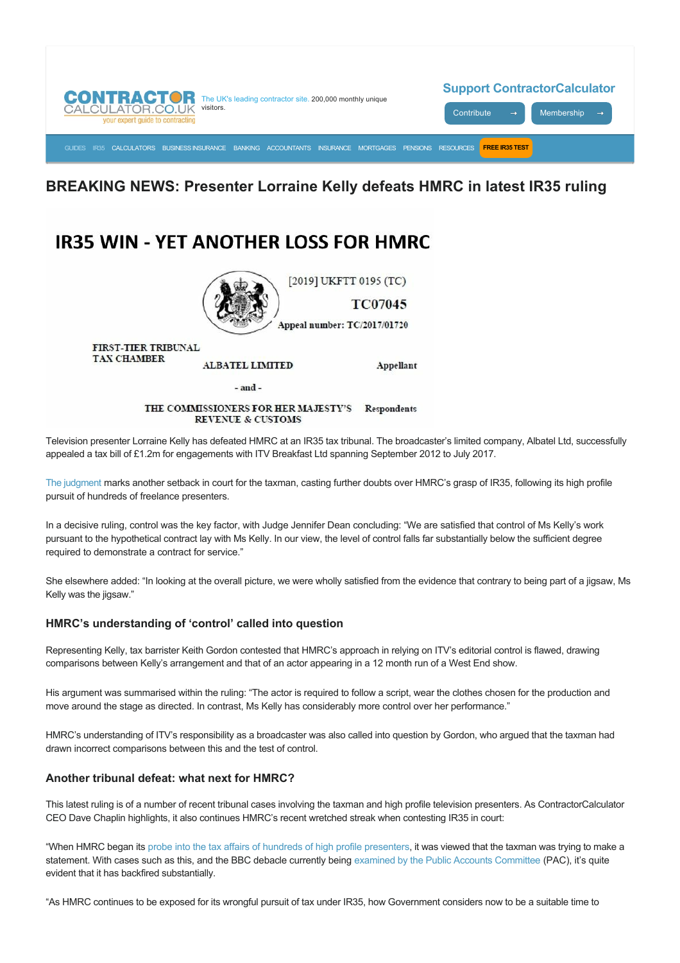

## **BREAKING NEWS: Presenter Lorraine Kelly defeats HMRC in latest IR35 ruling**

## **IR35 WIN - YET ANOTHER LOSS FOR HMRC**



FIRST-TIER TRIBUNAL **TAX CHAMBER** 

**ALBATEL LIMITED** 

 $-$ and $-$ 

THE COMMISSIONERS FOR HER MAJESTY'S Respondents **REVENUE & CUSTOMS** 

Television presenter Lorraine Kelly has defeated HMRC at an IR35 tax tribunal. The broadcaster's limited company, Albatel Ltd, successfully appealed a tax bill of £1.2m for engagements with ITV Breakfast Ltd spanning September 2012 to July 2017.

Appellant

[The judgment](http://financeandtax.decisions.tribunals.gov.uk/judgmentfiles/j11009/TC07045.pdf) marks another setback in court for the taxman, casting further doubts over HMRC's grasp of IR35, following its high profile pursuit of hundreds of freelance presenters.

In a decisive ruling, control was the key factor, with Judge Jennifer Dean concluding: "We are satisfied that control of Ms Kelly's work pursuant to the hypothetical contract lay with Ms Kelly. In our view, the level of control falls far substantially below the sufficient degree required to demonstrate a contract for service."

She elsewhere added: "In looking at the overall picture, we were wholly satisfied from the evidence that contrary to being part of a jigsaw, Ms Kelly was the jigsaw."

## **HMRC's understanding of 'control' called into question**

Representing Kelly, tax barrister Keith Gordon contested that HMRC's approach in relying on ITV's editorial control is flawed, drawing comparisons between Kelly's arrangement and that of an actor appearing in a 12 month run of a West End show.

His argument was summarised within the ruling: "The actor is required to follow a script, wear the clothes chosen for the production and move around the stage as directed. In contrast, Ms Kelly has considerably more control over her performance."

HMRC's understanding of ITV's responsibility as a broadcaster was also called into question by Gordon, who argued that the taxman had drawn incorrect comparisons between this and the test of control.

## **Another tribunal defeat: what next for HMRC?**

This latest ruling is of a number of recent tribunal cases involving the taxman and high profile television presenters. As ContractorCalculator CEO Dave Chaplin highlights, it also continues HMRC's recent wretched streak when contesting IR35 in court:

"When HMRC began its [probe into the tax affairs of hundreds of high profile presenters](https://www.contractorcalculator.co.uk/100_bbc_presenters_face_huge_tax_bills_ir35_530210_news.aspx), it was viewed that the taxman was trying to make a statement. With cases such as this, and the BBC debacle currently being [examined by the Public Accounts Committee](https://www.contractorcalculator.co.uk/hmrc_defends_cest_blames_bbc_presenters_fiasco_548310_news.aspx) (PAC), it's quite evident that it has backfired substantially.

"As HMRC continues to be exposed for its wrongful pursuit of tax under IR35, how Government considers now to be a suitable time to